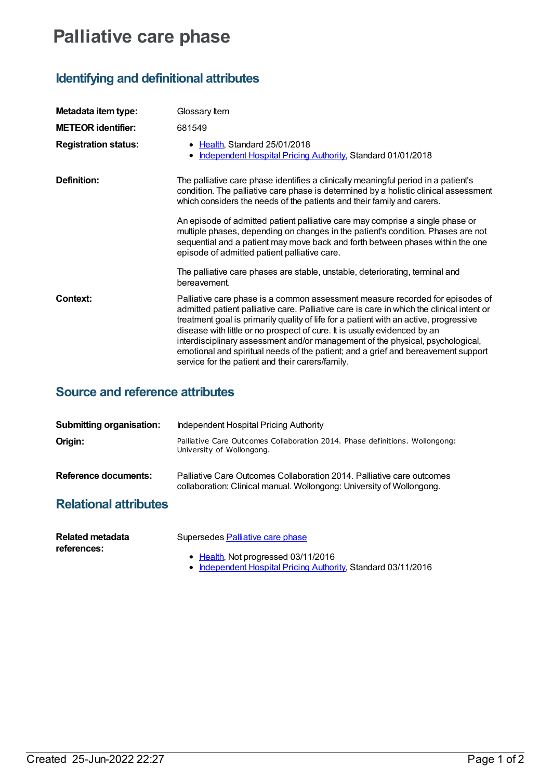# **Palliative care phase**

## **Identifying and definitional attributes**

| Metadata item type:         | Glossary Item                                                                                                                                                                                                                                                                                                                                                                                                                                                                                                                                                               |
|-----------------------------|-----------------------------------------------------------------------------------------------------------------------------------------------------------------------------------------------------------------------------------------------------------------------------------------------------------------------------------------------------------------------------------------------------------------------------------------------------------------------------------------------------------------------------------------------------------------------------|
| <b>METEOR identifier:</b>   | 681549                                                                                                                                                                                                                                                                                                                                                                                                                                                                                                                                                                      |
| <b>Registration status:</b> | • Health, Standard 25/01/2018<br><b>Independent Hospital Pricing Authority, Standard 01/01/2018</b><br>٠                                                                                                                                                                                                                                                                                                                                                                                                                                                                    |
| Definition:                 | The palliative care phase identifies a clinically meaningful period in a patient's<br>condition. The palliative care phase is determined by a holistic clinical assessment<br>which considers the needs of the patients and their family and carers.                                                                                                                                                                                                                                                                                                                        |
|                             | An episode of admitted patient palliative care may comprise a single phase or<br>multiple phases, depending on changes in the patient's condition. Phases are not<br>sequential and a patient may move back and forth between phases within the one<br>episode of admitted patient palliative care.                                                                                                                                                                                                                                                                         |
|                             | The palliative care phases are stable, unstable, deteriorating, terminal and<br>bereavement.                                                                                                                                                                                                                                                                                                                                                                                                                                                                                |
| <b>Context:</b>             | Palliative care phase is a common assessment measure recorded for episodes of<br>admitted patient palliative care. Palliative care is care in which the clinical intent or<br>treatment goal is primarily quality of life for a patient with an active, progressive<br>disease with little or no prospect of cure. It is usually evidenced by an<br>interdisciplinary assessment and/or management of the physical, psychological,<br>emotional and spiritual needs of the patient; and a grief and bereavement support<br>service for the patient and their carers/family. |

### **Source and reference attributes**

| <b>Submitting organisation:</b> | Independent Hospital Pricing Authority                                                                                                         |
|---------------------------------|------------------------------------------------------------------------------------------------------------------------------------------------|
| Origin:                         | Palliative Care Outcomes Collaboration 2014. Phase definitions. Wollongong:<br>University of Wollongong.                                       |
| Reference documents:            | Palliative Care Outcomes Collaboration 2014. Palliative care outcomes<br>collaboration: Clinical manual. Wollongong: University of Wollongong. |
| Deletional ethnikutan           |                                                                                                                                                |

#### **Relational attributes**

| Related metadata<br>references: | Supersedes Palliative care phase                                                                     |
|---------------------------------|------------------------------------------------------------------------------------------------------|
|                                 | • Health, Not progressed 03/11/2016<br>• Independent Hospital Pricing Authority, Standard 03/11/2016 |